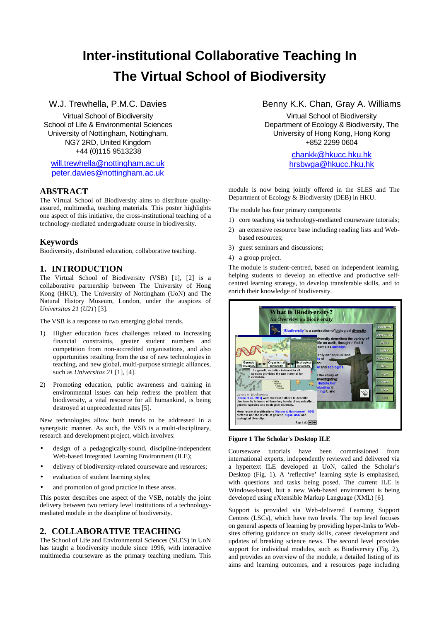# **Inter-institutional Collaborative Teaching In The Virtual School of Biodiversity**

### W.J. Trewhella, P.M.C. Davies

Virtual School of Biodiversity School of Life & Environmental Sciences University of Nottingham, Nottingham, NG7 2RD, United Kingdom +44 (0)115 9513238

will.trewhella@nottingham.ac.uk peter.davies@nottingham.ac.uk

### **ABSTRACT**

The Virtual School of Biodiversity aims to distribute qualityassured, multimedia, teaching materials. This poster highlights one aspect of this initiative, the cross-institutional teaching of a technology-mediated undergraduate course in biodiversity.

### **Keywords**

Biodiversity, distributed education, collaborative teaching.

# **1. INTRODUCTION**

The Virtual School of Biodiversity (VSB) [1], [2] is a collaborative partnership between The University of Hong Kong (HKU), The University of Nottingham (UoN) and The Natural History Museum, London, under the auspices of *Universitas 21* (*U21*) [3].

The VSB is a response to two emerging global trends.

- 1) Higher education faces challenges related to increasing financial constraints, greater student numbers and competition from non-accredited organisations, and also opportunities resulting from the use of new technologies in teaching, and new global, multi-purpose strategic alliances, such as *Universitas 21* [1], [4].
- 2) Promoting education, public awareness and training in environmental issues can help redress the problem that biodiversity, a vital resource for all humankind, is being destroyed at unprecedented rates [5].

New technologies allow both trends to be addressed in a synergistic manner. As such, the VSB is a multi-disciplinary, research and development project, which involves:

- design of a pedagogically-sound, discipline-independent Web-based Integrated Learning Environment (ILE);
- delivery of biodiversity-related courseware and resources;
- evaluation of student learning styles;
- and promotion of good practice in these areas.

This poster describes one aspect of the VSB, notably the joint delivery between two tertiary level institutions of a technologymediated module in the discipline of biodiversity.

### **2. COLLABORATIVE TEACHING**

The School of Life and Environmental Sciences (SLES) in UoN has taught a biodiversity module since 1996, with interactive multimedia courseware as the primary teaching medium. This

### Benny K.K. Chan, Gray A. Williams

Virtual School of Biodiversity Department of Ecology & Biodiversity, The University of Hong Kong, Hong Kong +852 2299 0604

> chankk@hkucc.hku.hk hrsbwga@hkucc.hku.hk

module is now being jointly offered in the SLES and The Department of Ecology & Biodiversity (DEB) in HKU.

The module has four primary components:

- 1) core teaching via technology-mediated courseware tutorials;
- 2) an extensive resource base including reading lists and Webbased resources;
- 3) guest seminars and discussions;
- 4) a group project.

The module is student-centred, based on independent learning, helping students to develop an effective and productive selfcentred learning strategy, to develop transferable skills, and to enrich their knowledge of biodiversity.



#### **Figure 1 The Scholar's Desktop ILE**

Courseware tutorials have been commissioned from international experts, independently reviewed and delivered via a hypertext ILE developed at UoN, called the Scholar's Desktop (Fig. 1). A 'reflective' learning style is emphasised, with questions and tasks being posed. The current ILE is Windows-based, but a new Web-based environment is being developed using eXtensible Markup Language (XML) [6].

Support is provided via Web-delivered Learning Support Centres (LSCs), which have two levels. The top level focuses on general aspects of learning by providing hyper-links to Websites offering guidance on study skills, career development and updates of breaking science news. The second level provides support for individual modules, such as Biodiversity (Fig. 2), and provides an overview of the module, a detailed listing of its aims and learning outcomes, and a resources page including